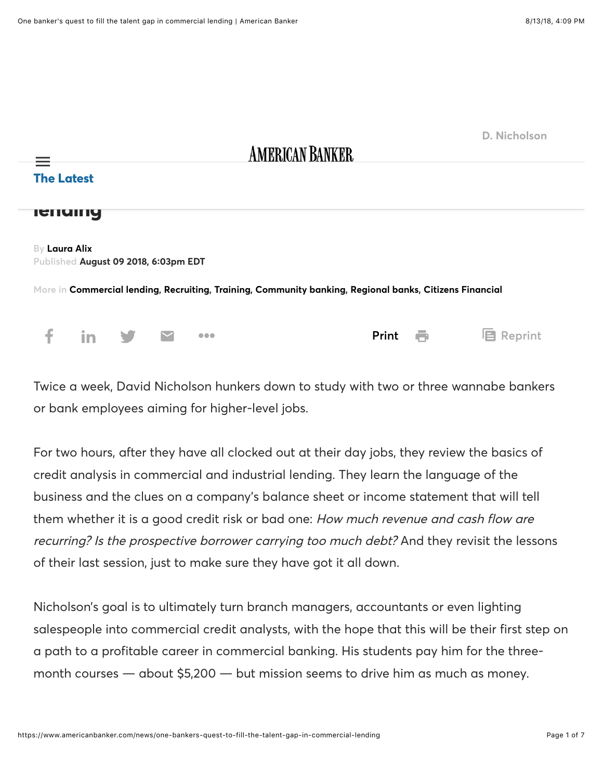|                                                                                                         |            | D. Nicholson |
|---------------------------------------------------------------------------------------------------------|------------|--------------|
| <b>AMERICAN BANKER</b>                                                                                  |            |              |
| <b>The Latest</b>                                                                                       |            |              |
|                                                                                                         |            |              |
| <b>IGHUING</b>                                                                                          |            |              |
| By Laura Alix<br>Published August 09 2018, 6:03pm EDT                                                   |            |              |
| More in Commercial lending, Recruiting, Training, Community banking, Regional banks, Citizens Financial |            |              |
|                                                                                                         |            |              |
| in                                                                                                      | ē<br>Print | Reprint<br>8 |
| Twice a week, David Nicholson hunkers down to study with two or three wannabe bankers                   |            |              |
| or bank employees aiming for higher-level jobs.                                                         |            |              |

For two hours, after they have all clocked out at their day jobs, they review the basics of credit analysis in commercial and industrial lending. They learn the language of the business and the clues on a company's balance sheet or income statement that will tell them whether it is a good credit risk or bad one: How much revenue and cash flow are recurring? Is the prospective borrower carrying too much debt? And they revisit the lessons of their last session, just to make sure they have got it all down.

Nicholson's goal is to ultimately turn branch managers, accountants or even lighting salespeople into commercial credit analysts, with the hope that this will be their first step on a path to a profitable career in commercial banking. His students pay him for the threemonth courses — about \$5,200 — but mission seems to drive him as much as money.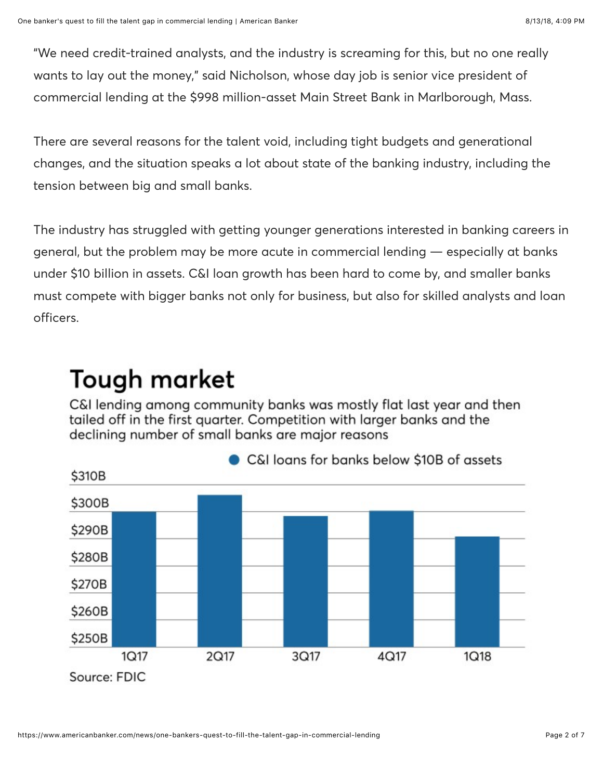"We need credit-trained analysts, and the industry is screaming for this, but no one really wants to lay out the money," said Nicholson, whose day job is senior vice president of commercial lending at the \$998 million-asset Main Street Bank in Marlborough, Mass.

There are several reasons for the talent void, including tight budgets and generational changes, and the situation speaks a lot about state of the banking industry, including the tension between big and small banks.

The industry has struggled with getting younger generations interested in banking careers in general, but the problem may be more acute in commercial lending — especially at banks under \$10 billion in assets. C&I loan growth has been hard to come by, and smaller banks must compete with bigger banks not only for business, but also for skilled analysts and loan officers.

# Tough market

C&I lending among community banks was mostly flat last year and then tailed off in the first quarter. Competition with larger banks and the declining number of small banks are major reasons

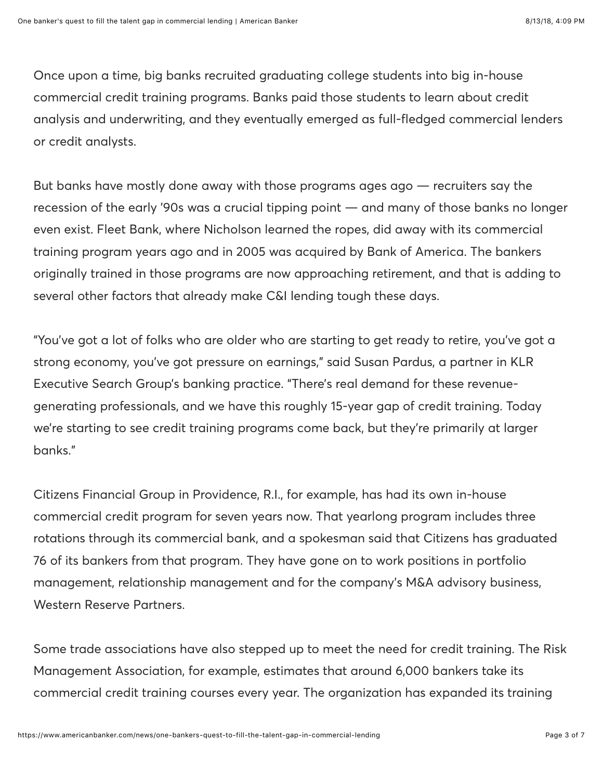Once upon a time, big banks recruited graduating college students into big in-house commercial credit training programs. Banks paid those students to learn about credit analysis and underwriting, and they eventually emerged as full-fledged commercial lenders or credit analysts.

But banks have mostly done away with those programs ages ago — recruiters say the recession of the early '90s was a crucial tipping point — and many of those banks no longer even exist. Fleet Bank, where Nicholson learned the ropes, did away with its commercial training program years ago and in 2005 was acquired by Bank of America. The bankers originally trained in those programs are now approaching retirement, and that is adding to several other factors that already make C&I lending tough these days.

"You've got a lot of folks who are older who are starting to get ready to retire, you've got a strong economy, you've got pressure on earnings," said Susan Pardus, a partner in KLR Executive Search Group's banking practice. "There's real demand for these revenuegenerating professionals, and we have this roughly 15-year gap of credit training. Today we're starting to see credit training programs come back, but they're primarily at larger banks."

Citizens Financial Group in Providence, R.I., for example, has had its own in-house commercial credit program for seven years now. That yearlong program includes three rotations through its commercial bank, and a spokesman said that Citizens has graduated 76 of its bankers from that program. They have gone on to work positions in portfolio management, relationship management and for the company's M&A advisory business, Western Reserve Partners.

Some trade associations have also stepped up to meet the need for credit training. The Risk Management Association, for example, estimates that around 6,000 bankers take its commercial credit training courses every year. The organization has expanded its training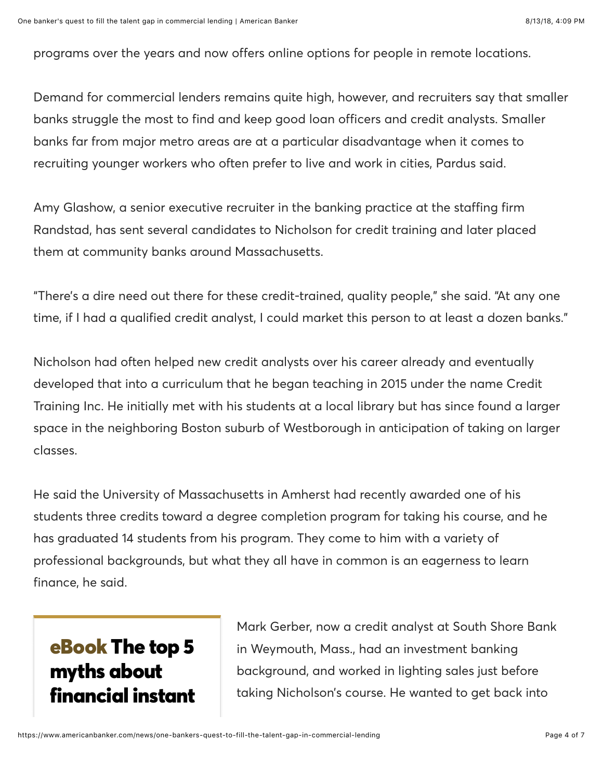programs over the years and now offers online options for people in remote locations.

Demand for commercial lenders remains quite high, however, and recruiters say that smaller banks struggle the most to find and keep good loan officers and credit analysts. Smaller banks far from major metro areas are at a particular disadvantage when it comes to recruiting younger workers who often prefer to live and work in cities, Pardus said.

Amy Glashow, a senior executive recruiter in the banking practice at the staffing firm Randstad, has sent several candidates to Nicholson for credit training and later placed them at community banks around Massachusetts.

"There's a dire need out there for these credit-trained, quality people," she said. "At any one time, if I had a qualified credit analyst, I could market this person to at least a dozen banks."

Nicholson had often helped new credit analysts over his career already and eventually developed that into a curriculum that he began teaching in 2015 under the name Credit Training Inc. He initially met with his students at a local library but has since found a larger space in the neighboring Boston suburb of Westborough in anticipation of taking on larger classes.

He said the University of Massachusetts in Amherst had recently awarded one of his students three credits toward a degree completion program for taking his course, and he has graduated 14 students from his program. They come to him with a variety of professional backgrounds, but what they all have in common is an eagerness to learn finance, he said.

### eBook The top 5 myths about [financial instant](http://www.americanbanker.com/ebook/the-top-5-myths-about-financial-instant-issuance)

Mark Gerber, now a credit analyst at South Shore Bank in Weymouth, Mass., had an investment banking background, and worked in lighting sales just before taking Nicholson's course. He wanted to get back into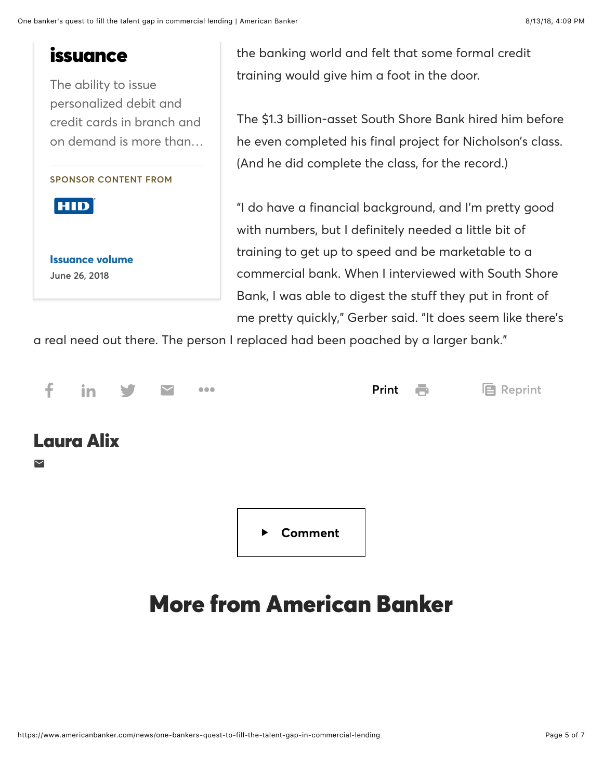### [issuance](http://www.americanbanker.com/ebook/the-top-5-myths-about-financial-instant-issuance)

The ability to issue personalized debit and credit cards in branch and on demand is more than…

#### SPONSOR CONTENT FROM

convenience—it's an



[Issuance volume](https://www.americanbanker.com/tag/issuance-volume) June 26, 2018

the banking world and felt that some formal credit training would give him a foot in the door.

The \$1.3 billion-asset South Shore Bank hired him before he even completed his final project for Nicholson's class. (And he did complete the class, for the record.)

"I do have a financial background, and I'm pretty good with numbers, but I definitely needed a little bit of training to get up to speed and be marketable to a commercial bank. When I interviewed with South Shore Bank, I was able to digest the stuff they put in front of me pretty quickly," Gerber said. "It does seem like there's

a real need out there. The person I replaced had been poached by a larger bank."



### [Laura Alix](https://www.americanbanker.com/author/laura-alix)

 $\blacktriangledown$ 

Comment

### More from American Banker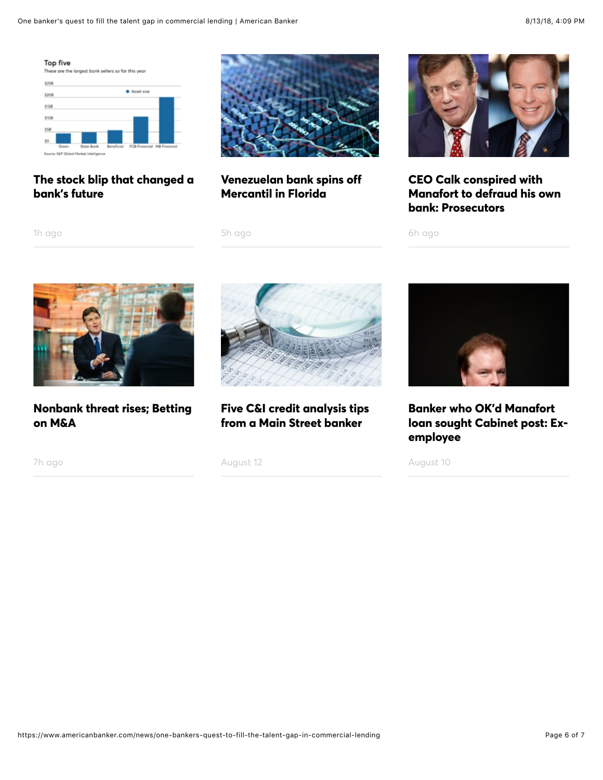

#### [The stock blip that changed a](https://www.americanbanker.com/news/the-stock-blip-that-changed-a-banks-future) bank's future



#### [Venezuelan bank spins off](https://www.americanbanker.com/news/venezuelan-bank-spins-off-mercantil-in-florida) Mercantil in Florida

5h ago



CEO Calk conspired with [Manafort to defraud his own](https://www.americanbanker.com/news/ceo-calk-conspired-with-manafort-to-defraud-his-own-bank-prosecutors) bank: Prosecutors

1h ago



[Nonbank threat rises; Betting](https://www.americanbanker.com/morning-scan/nonbank-threat-rises-betting-on-m-a) on M&A

#### [Five C&I credit analysis tips](https://www.americanbanker.com/list/five-c-i-credit-analysis-tips-from-a-main-street-banker) from a Main Street banker

August 12



Banker who OK'd Manafort [loan sought Cabinet post: Ex](https://www.americanbanker.com/articles/banker-who-okd-manafort-loan-sought-cabinet-post-ex-employee)employee

August 10

6h ago

7h ago